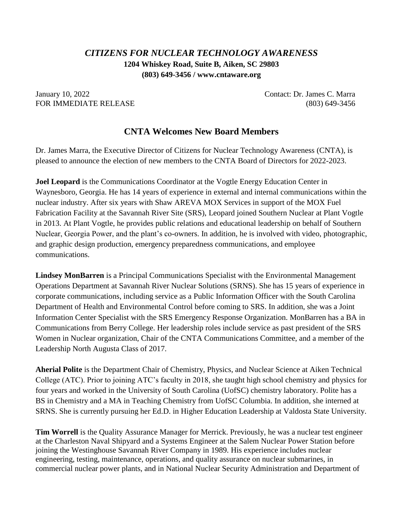## *CITIZENS FOR NUCLEAR TECHNOLOGY AWARENESS* **1204 Whiskey Road, Suite B, Aiken, SC 29803 (803) 649-3456 / www.cntaware.org**

January 10, 2022 Contact: Dr. James C. Marra FOR IMMEDIATE RELEASE (803) 649-3456

## **CNTA Welcomes New Board Members**

Dr. James Marra, the Executive Director of Citizens for Nuclear Technology Awareness (CNTA), is pleased to announce the election of new members to the CNTA Board of Directors for 2022-2023.

**Joel Leopard** is the Communications Coordinator at the Vogtle Energy Education Center in Waynesboro, Georgia. He has 14 years of experience in external and internal communications within the nuclear industry. After six years with Shaw AREVA MOX Services in support of the MOX Fuel Fabrication Facility at the Savannah River Site (SRS), Leopard joined Southern Nuclear at Plant Vogtle in 2013. At Plant Vogtle, he provides public relations and educational leadership on behalf of Southern Nuclear, Georgia Power, and the plant's co-owners. In addition, he is involved with video, photographic, and graphic design production, emergency preparedness communications, and employee communications.

**Lindsey MonBarren** is a Principal Communications Specialist with the Environmental Management Operations Department at Savannah River Nuclear Solutions (SRNS). She has 15 years of experience in corporate communications, including service as a Public Information Officer with the South Carolina Department of Health and Environmental Control before coming to SRS. In addition, she was a Joint Information Center Specialist with the SRS Emergency Response Organization. MonBarren has a BA in Communications from Berry College. Her leadership roles include service as past president of the SRS Women in Nuclear organization, Chair of the CNTA Communications Committee, and a member of the Leadership North Augusta Class of 2017.

**Aherial Polite** is the Department Chair of Chemistry, Physics, and Nuclear Science at Aiken Technical College (ATC). Prior to joining ATC's faculty in 2018, she taught high school chemistry and physics for four years and worked in the University of South Carolina (UofSC) chemistry laboratory. Polite has a BS in Chemistry and a MA in Teaching Chemistry from UofSC Columbia. In addition, she interned at SRNS. She is currently pursuing her Ed.D. in Higher Education Leadership at Valdosta State University.

**Tim Worrell** is the Quality Assurance Manager for Merrick. Previously, he was a nuclear test engineer at the Charleston Naval Shipyard and a Systems Engineer at the Salem Nuclear Power Station before joining the Westinghouse Savannah River Company in 1989. His experience includes nuclear engineering, testing, maintenance, operations, and quality assurance on nuclear submarines, in commercial nuclear power plants, and in National Nuclear Security Administration and Department of